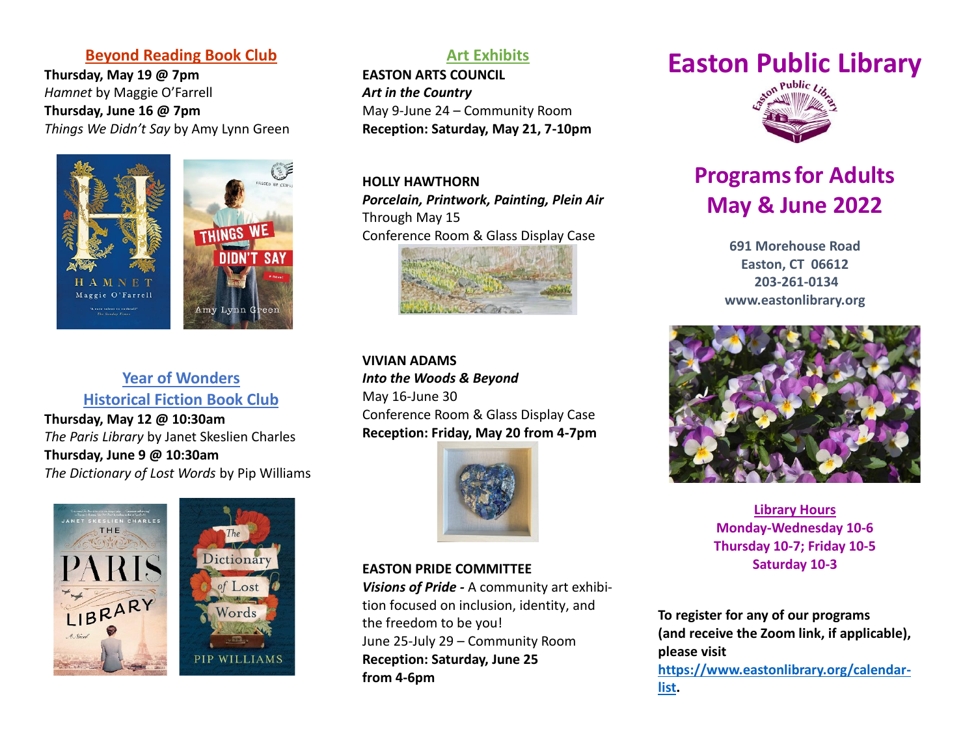#### **Beyond Reading Book Club**

**Thursday, May 19 @ 7pm** *Hamnet* by Maggie O'Farrell **Thursday, June 16 @ 7pm** *Things We Didn't Say* by Amy Lynn Green



**Year of Wonders Historical Fiction Book Club**

**Thursday, May 12 @ 10:30am** *The Paris Library* by Janet Skeslien Charles **Thursday, June 9 @ 10:30am** *The Dictionary of Lost Words* by Pip Williams





## **Art Exhibits**

**EASTON ARTS COUNCIL**  *Art in the Country* May 9-June 24 – Community Room **Reception: Saturday, May 21, 7-10pm**

**HOLLY HAWTHORN** *Porcelain, Printwork, Painting, Plein Air* Through May 15 Conference Room & Glass Display Case



**VIVIAN ADAMS** *Into the Woods & Beyond* May 16-June 30 Conference Room & Glass Display Case **Reception: Friday, May 20 from 4-7pm**



**EASTON PRIDE COMMITTEE** *Visions of Pride -* A community art exhibition focused on inclusion, identity, and the freedom to be you! June 25-July 29 – Community Room **Reception: Saturday, June 25 from 4-6pm**

# **Easton Public Library**



## **Programsfor Adults May & June 2022**

**691 Morehouse Road Easton, CT 06612 203-261-0134 [www.eastonlibrary.org](http://www.eastonlibrary.org/)**



**Library Hours Monday-Wednesday 10-6 Thursday 10-7; Friday 10-5 Saturday 10-3**

**To register for any of our programs (and receive the Zoom link, if applicable), please visit [https://www.eastonlibrary.org/calendar](https://www.eastonlibrary.org/calendar-list)[list.](https://www.eastonlibrary.org/calendar-list)**